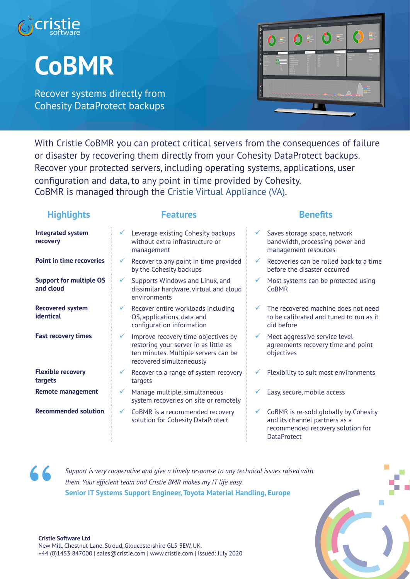

# **CoBMR**

Recover systems directly from Cohesity DataProtect backups



With Cristie CoBMR you can protect critical servers from the consequences of failure or disaster by recovering them directly from your Cohesity DataProtect backups. Recover your protected servers, including operating systems, applications, user configuration and data, to any point in time provided by Cohesity. CoBMR is managed through the Cristie Virtual Appliance (VA).

## **Highlights Features Benefits**

| <b>Integrated system</b><br>recovery        | Leverage existing Cohesity backups<br>Saves storage space, network<br>$\checkmark$<br>$\checkmark$<br>without extra infrastructure or<br>bandwidth, processing power and<br>management resources<br>management                                        |
|---------------------------------------------|-------------------------------------------------------------------------------------------------------------------------------------------------------------------------------------------------------------------------------------------------------|
| <b>Point in time recoveries</b>             | Recoveries can be rolled back to a time<br>Recover to any point in time provided<br>$\checkmark$<br>$\checkmark$<br>by the Cohesity backups<br>before the disaster occurred                                                                           |
| <b>Support for multiple OS</b><br>and cloud | Supports Windows and Linux, and<br>Most systems can be protected using<br>$\checkmark$<br>dissimilar hardware, virtual and cloud<br><b>CoBMR</b><br>environments                                                                                      |
| <b>Recovered system</b><br>identical        | Recover entire workloads including<br>The recovered machine does not need<br>$\checkmark$<br>OS, applications, data and<br>to be calibrated and tuned to run as it<br>configuration information<br>did before                                         |
| <b>Fast recovery times</b>                  | Improve recovery time objectives by<br>Meet aggressive service level<br>$\checkmark$<br>restoring your server in as little as<br>agreements recovery time and point<br>ten minutes. Multiple servers can be<br>objectives<br>recovered simultaneously |
| <b>Flexible recovery</b><br>targets         | Recover to a range of system recovery<br>Flexibility to suit most environments<br>$\checkmark$<br>targets                                                                                                                                             |
| <b>Remote management</b>                    | Manage multiple, simultaneous<br>Easy, secure, mobile access<br>✓<br>system recoveries on site or remotely                                                                                                                                            |
| <b>Recommended solution</b>                 | CoBMR is re-sold globally by Cohesity<br>CoBMR is a recommended recovery<br>$\checkmark$<br>and its channel partners as a<br>solution for Cohesity DataProtect<br>recommended recovery solution for                                                   |

**DataProtect** 

**"**

*Support is very cooperative and give a timely response to any technical issues raised with them. Your efficient team and Cristie BMR makes my IT life easy.* **Senior IT Systems Support Engineer, Toyota Material Handling, Europe**